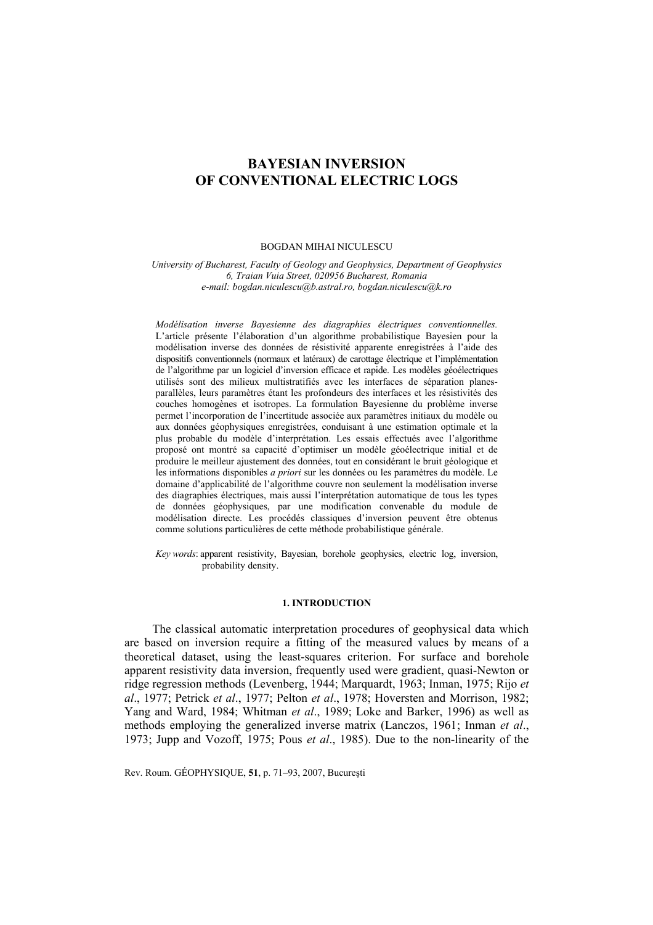# **BAYESIAN INVERSION OF CONVENTIONAL ELECTRIC LOGS**

#### BOGDAN MIHAI NICULESCU

*University of Bucharest, Faculty of Geology and Geophysics, Department of Geophysics 6, Traian Vuia Street, 020956 Bucharest, Romania e-mail: bogdan.niculescu@b.astral.ro, bogdan.niculescu@k.ro* 

*Modélisation inverse Bayesienne des diagraphies électriques conventionnelles.*  L'article présente l'élaboration d'un algorithme probabilistique Bayesien pour la modélisation inverse des données de résistivité apparente enregistrées à l'aide des dispositifs conventionnels (normaux et latéraux) de carottage électrique et l'implémentation de l'algorithme par un logiciel d'inversion efficace et rapide. Les modèles géoélectriques utilisés sont des milieux multistratifiés avec les interfaces de séparation planesparallèles, leurs paramètres étant les profondeurs des interfaces et les résistivités des couches homogènes et isotropes. La formulation Bayesienne du problème inverse permet l'incorporation de l'incertitude associée aux paramètres initiaux du modèle ou aux données géophysiques enregistrées, conduisant à une estimation optimale et la plus probable du modèle d'interprétation. Les essais effectués avec l'algorithme proposé ont montré sa capacité d'optimiser un modèle géoélectrique initial et de produire le meilleur ajustement des données, tout en considérant le bruit géologique et les informations disponibles *a priori* sur les données ou les paramètres du modèle. Le domaine d'applicabilité de l'algorithme couvre non seulement la modélisation inverse des diagraphies électriques, mais aussi l'interprétation automatique de tous les types de données géophysiques, par une modification convenable du module de modélisation directe. Les procédés classiques d'inversion peuvent être obtenus comme solutions particulières de cette méthode probabilistique générale.

*Key words*: apparent resistivity, Bayesian, borehole geophysics, electric log, inversion, probability density.

#### **1. INTRODUCTION**

The classical automatic interpretation procedures of geophysical data which are based on inversion require a fitting of the measured values by means of a theoretical dataset, using the least-squares criterion. For surface and borehole apparent resistivity data inversion, frequently used were gradient, quasi-Newton or ridge regression methods (Levenberg, 1944; Marquardt, 1963; Inman, 1975; Rijo *et al*., 1977; Petrick *et al*., 1977; Pelton *et al*., 1978; Hoversten and Morrison, 1982; Yang and Ward, 1984; Whitman *et al*., 1989; Loke and Barker, 1996) as well as methods employing the generalized inverse matrix (Lanczos, 1961; Inman *et al*., 1973; Jupp and Vozoff, 1975; Pous *et al*., 1985). Due to the non-linearity of the

Rev. Roum. GÉOPHYSIQUE, **51**, p. 71–93, 2007, Bucureşti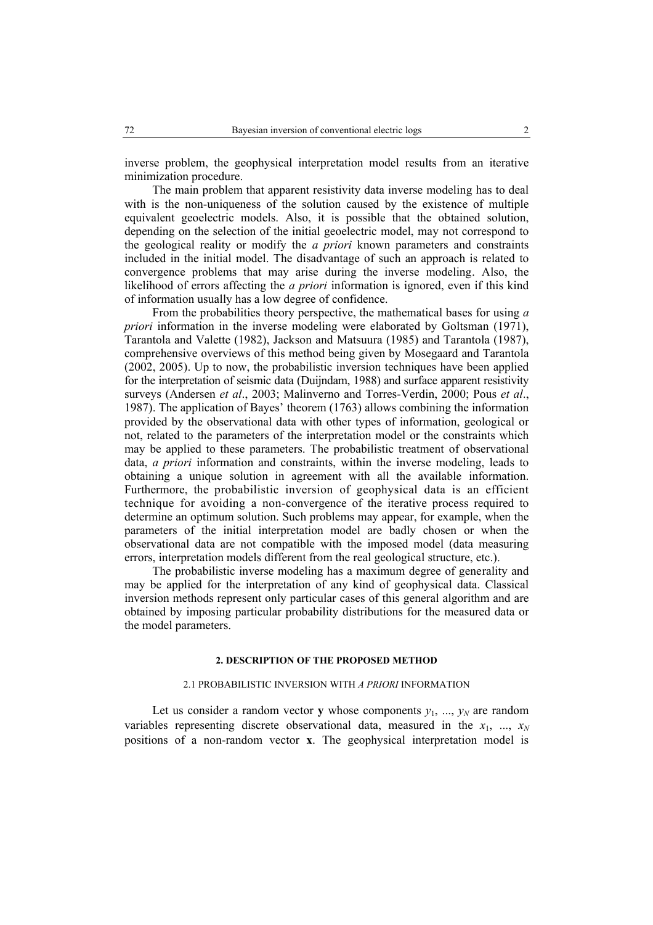inverse problem, the geophysical interpretation model results from an iterative minimization procedure.

The main problem that apparent resistivity data inverse modeling has to deal with is the non-uniqueness of the solution caused by the existence of multiple equivalent geoelectric models. Also, it is possible that the obtained solution, depending on the selection of the initial geoelectric model, may not correspond to the geological reality or modify the *a priori* known parameters and constraints included in the initial model. The disadvantage of such an approach is related to convergence problems that may arise during the inverse modeling. Also, the likelihood of errors affecting the *a priori* information is ignored, even if this kind of information usually has a low degree of confidence.

From the probabilities theory perspective, the mathematical bases for using *a priori* information in the inverse modeling were elaborated by Goltsman (1971), Tarantola and Valette (1982), Jackson and Matsuura (1985) and Tarantola (1987), comprehensive overviews of this method being given by Mosegaard and Tarantola (2002, 2005). Up to now, the probabilistic inversion techniques have been applied for the interpretation of seismic data (Duijndam, 1988) and surface apparent resistivity surveys (Andersen *et al*., 2003; Malinverno and Torres-Verdin, 2000; Pous *et al*., 1987). The application of Bayes' theorem (1763) allows combining the information provided by the observational data with other types of information, geological or not, related to the parameters of the interpretation model or the constraints which may be applied to these parameters. The probabilistic treatment of observational data, *a priori* information and constraints, within the inverse modeling, leads to obtaining a unique solution in agreement with all the available information. Furthermore, the probabilistic inversion of geophysical data is an efficient technique for avoiding a non-convergence of the iterative process required to determine an optimum solution. Such problems may appear, for example, when the parameters of the initial interpretation model are badly chosen or when the observational data are not compatible with the imposed model (data measuring errors, interpretation models different from the real geological structure, etc.).

The probabilistic inverse modeling has a maximum degree of generality and may be applied for the interpretation of any kind of geophysical data. Classical inversion methods represent only particular cases of this general algorithm and are obtained by imposing particular probability distributions for the measured data or the model parameters.

#### **2. DESCRIPTION OF THE PROPOSED METHOD**

# 2.1 PROBABILISTIC INVERSION WITH *A PRIORI* INFORMATION

Let us consider a random vector **y** whose components  $y_1$ , ...,  $y_N$  are random variables representing discrete observational data, measured in the  $x_1$ , ...,  $x_N$ positions of a non-random vector **x**. The geophysical interpretation model is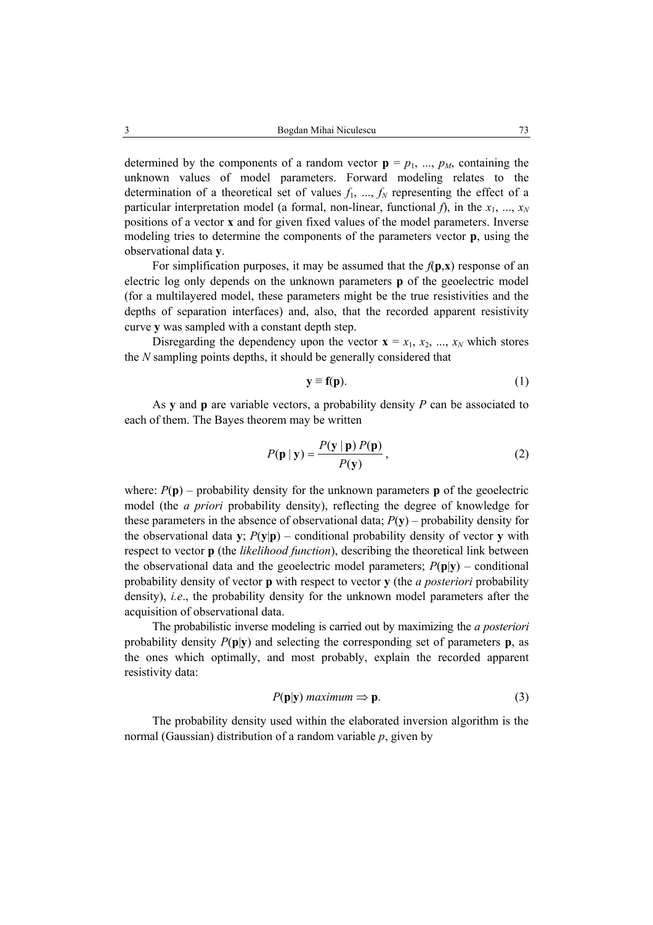determined by the components of a random vector  $\mathbf{p} = p_1, ..., p_M$ , containing the unknown values of model parameters. Forward modeling relates to the determination of a theoretical set of values  $f_1$ , ...,  $f_N$  representing the effect of a particular interpretation model (a formal, non-linear, functional  $f$ ), in the  $x_1, ..., x_N$ positions of a vector **x** and for given fixed values of the model parameters. Inverse modeling tries to determine the components of the parameters vector **p**, using the observational data **y**.

For simplification purposes, it may be assumed that the  $f(\mathbf{p}, \mathbf{x})$  response of an electric log only depends on the unknown parameters **p** of the geoelectric model (for a multilayered model, these parameters might be the true resistivities and the depths of separation interfaces) and, also, that the recorded apparent resistivity curve **y** was sampled with a constant depth step.

Disregarding the dependency upon the vector  $\mathbf{x} = x_1, x_2, ..., x_N$  which stores the *N* sampling points depths, it should be generally considered that

$$
y \equiv f(p). \tag{1}
$$

As **y** and **p** are variable vectors, a probability density *P* can be associated to each of them. The Bayes theorem may be written

$$
P(\mathbf{p} \mid \mathbf{y}) = \frac{P(\mathbf{y} \mid \mathbf{p}) \, P(\mathbf{p})}{P(\mathbf{y})},\tag{2}
$$

where:  $P(\mathbf{p})$  – probability density for the unknown parameters **p** of the geoelectric model (the *a priori* probability density), reflecting the degree of knowledge for these parameters in the absence of observational data;  $P(\mathbf{v})$  – probability density for the observational data **y**:  $P(\mathbf{v}|\mathbf{p})$  – conditional probability density of vector **v** with respect to vector **p** (the *likelihood function*), describing the theoretical link between the observational data and the geoelectric model parameters;  $P(\mathbf{p}|\mathbf{y})$  – conditional probability density of vector **p** with respect to vector **y** (the *a posteriori* probability density), *i.e*., the probability density for the unknown model parameters after the acquisition of observational data.

The probabilistic inverse modeling is carried out by maximizing the *a posteriori* probability density  $P(\mathbf{p}|\mathbf{y})$  and selecting the corresponding set of parameters **p**, as the ones which optimally, and most probably, explain the recorded apparent resistivity data:

$$
P(\mathbf{p}|\mathbf{y}) \text{ maximum} \Rightarrow \mathbf{p}.\tag{3}
$$

The probability density used within the elaborated inversion algorithm is the normal (Gaussian) distribution of a random variable *p*, given by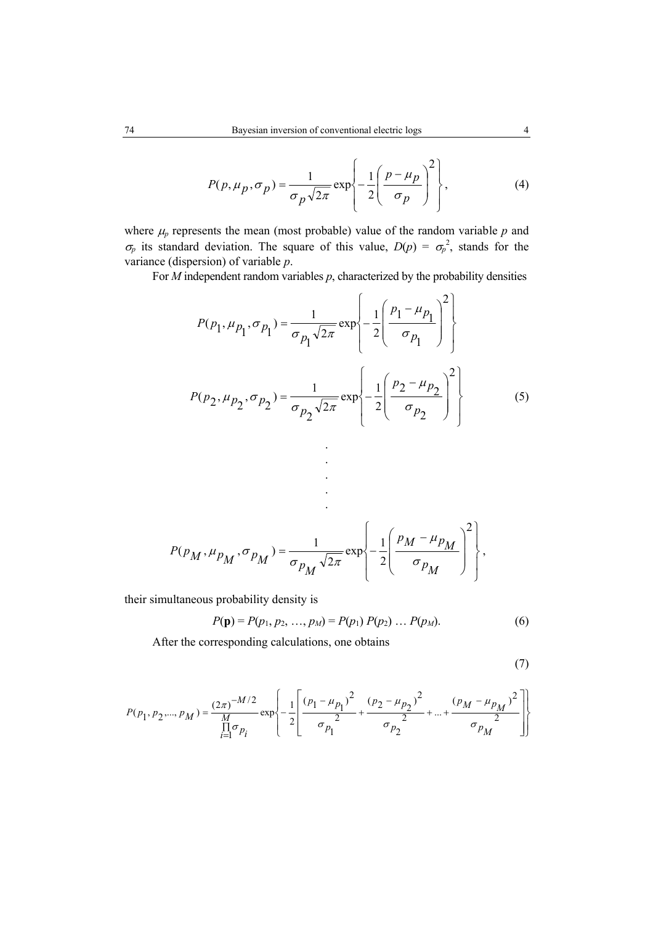$$
P(p, \mu_p, \sigma_p) = \frac{1}{\sigma_p \sqrt{2\pi}} \exp\left\{-\frac{1}{2} \left(\frac{p - \mu_p}{\sigma_p}\right)^2\right\},\tag{4}
$$

where  $\mu_p$  represents the mean (most probable) value of the random variable  $p$  and  $\sigma_p$  its standard deviation. The square of this value,  $D(p) = \sigma_p^2$ , stands for the variance (dispersion) of variable *p*.

For *M* independent random variables *p*, characterized by the probability densities

$$
P(p_1, \mu_{p_1}, \sigma_{p_1}) = \frac{1}{\sigma_{p_1} \sqrt{2\pi}} \exp\left\{-\frac{1}{2} \left(\frac{p_1 - \mu_{p_1}}{\sigma_{p_1}}\right)^2\right\}
$$

$$
P(p_2, \mu_{p_2}, \sigma_{p_2}) = \frac{1}{\sigma_{p_2} \sqrt{2\pi}} \exp\left\{-\frac{1}{2} \left(\frac{p_2 - \mu_{p_2}}{\sigma_{p_2}}\right)^2\right\}
$$
(5)

$$
P(p_M, \mu_{p_M}, \sigma_{p_M}) = \frac{1}{\sigma_{p_M} \sqrt{2\pi}} \exp \left\{-\frac{1}{2} \left(\frac{p_M - \mu_{p_M}}{\sigma_{p_M}}\right)^2\right\},\,
$$

. . . . .

their simultaneous probability density is

$$
P(\mathbf{p}) = P(p_1, p_2, ..., p_M) = P(p_1) P(p_2) ... P(p_M).
$$
 (6)

After the corresponding calculations, one obtains

$$
(\mathbf{7})
$$

$$
P(p_1, p_2, ..., p_M) = \frac{(2\pi)^{-M/2}}{\prod\limits_{i=1}^{M} \sigma_{p_i}} \exp\left\{-\frac{1}{2} \left[ \frac{(p_1 - \mu_{p_1})^2}{\sigma_{p_1}} + \frac{(p_2 - \mu_{p_2})^2}{\sigma_{p_2}} + ... + \frac{(p_M - \mu_{p_M})^2}{\sigma_{p_M}} \right] \right\}
$$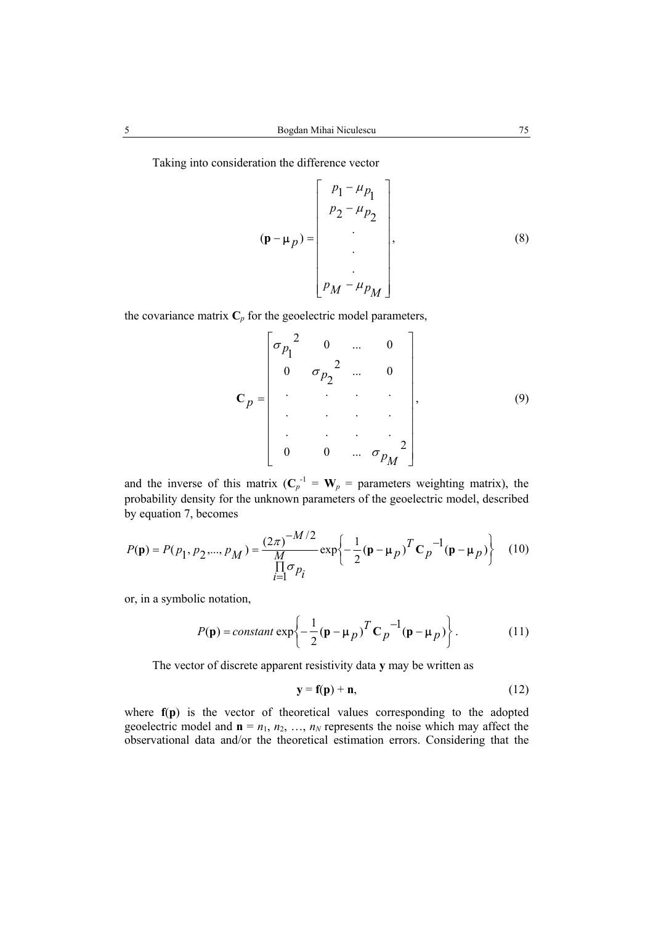Taking into consideration the difference vector

$$
(\mathbf{p} - \mathbf{\mu}_p) = \begin{bmatrix} p_1 - \mu_{p_1} \\ p_2 - \mu_{p_2} \\ \vdots \\ p_M - \mu_{p_M} \end{bmatrix},
$$
 (8)

the covariance matrix  $C_p$  for the geoelectric model parameters,

$$
\mathbf{C}_{p} = \begin{bmatrix} \sigma_{p_1}^{2} & 0 & \dots & 0 \\ 0 & \sigma_{p_2}^{2} & \dots & 0 \\ \vdots & \vdots & \ddots & \vdots \\ 0 & 0 & \dots & \sigma_{p_M}^{2} \end{bmatrix}, \qquad (9)
$$

and the inverse of this matrix  $(C_p^{-1} = W_p)$  = parameters weighting matrix), the probability density for the unknown parameters of the geoelectric model, described by equation 7, becomes

$$
P(\mathbf{p}) = P(p_1, p_2, ..., p_M) = \frac{(2\pi)^{-M/2}}{\prod_{i=1}^{M} \sigma_{p_i}} \exp\left\{-\frac{1}{2} (\mathbf{p} - \mathbf{\mu}_p)^T \mathbf{C}_p^{-1} (\mathbf{p} - \mathbf{\mu}_p)\right\} \tag{10}
$$

or, in a symbolic notation,

$$
P(\mathbf{p}) = constant \exp\left\{-\frac{1}{2}(\mathbf{p} - \mathbf{\mu}_p)^T \mathbf{C}_p^{-1}(\mathbf{p} - \mathbf{\mu}_p)\right\}.
$$
 (11)

The vector of discrete apparent resistivity data **y** may be written as

$$
y = f(p) + n, \tag{12}
$$

 $\ddot{\phantom{a}}$ 

where **f**(**p**) is the vector of theoretical values corresponding to the adopted geoelectric model and  $\mathbf{n} = n_1, n_2, ..., n_N$  represents the noise which may affect the observational data and/or the theoretical estimation errors. Considering that the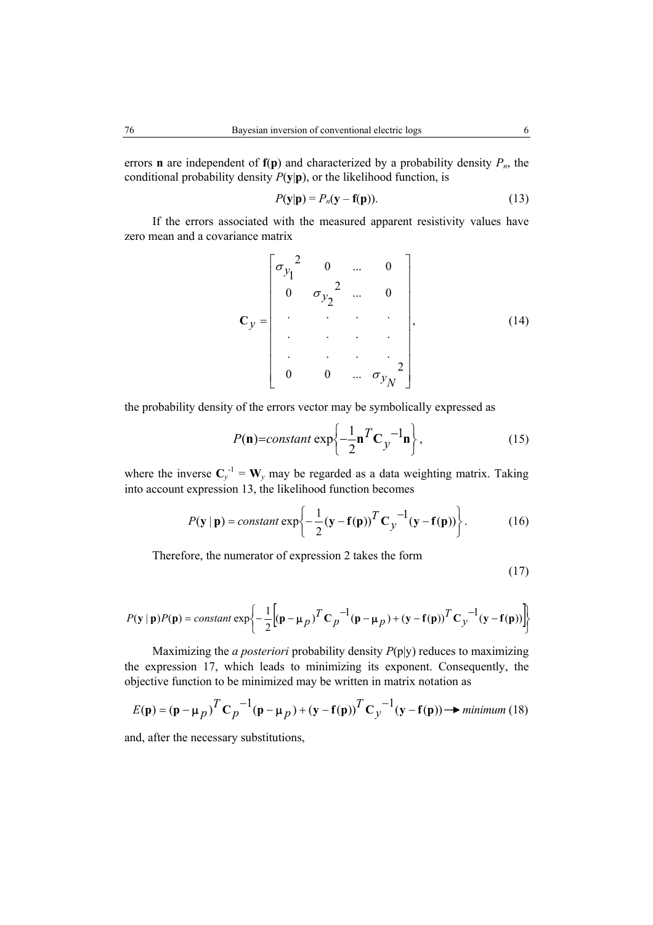errors **n** are independent of  $f(p)$  and characterized by a probability density  $P_n$ , the conditional probability density  $P(y|\mathbf{p})$ , or the likelihood function, is

$$
P(\mathbf{y}|\mathbf{p}) = P_n(\mathbf{y} - \mathbf{f}(\mathbf{p})).
$$
\n(13)

If the errors associated with the measured apparent resistivity values have zero mean and a covariance matrix

$$
\mathbf{C}_{y} = \begin{bmatrix} \sigma_{y_1}^{2} & 0 & \dots & 0 \\ 0 & \sigma_{y_2}^{2} & \dots & 0 \\ \vdots & \vdots & \ddots & \vdots \\ 0 & 0 & \dots & \sigma_{y_N}^{2} \end{bmatrix},
$$
(14)

the probability density of the errors vector may be symbolically expressed as

$$
P(\mathbf{n}) = constant \exp\left\{-\frac{1}{2}\mathbf{n}^T \mathbf{C}_y^{-1} \mathbf{n}\right\},\tag{15}
$$

where the inverse  $C_y^{-1} = W_y$  may be regarded as a data weighting matrix. Taking into account expression 13, the likelihood function becomes

$$
P(\mathbf{y} \mid \mathbf{p}) = constant \exp\left\{-\frac{1}{2}(\mathbf{y} - \mathbf{f}(\mathbf{p}))^T \mathbf{C}_y^{-1}(\mathbf{y} - \mathbf{f}(\mathbf{p}))\right\}.
$$
 (16)

Therefore, the numerator of expression 2 takes the form

$$
(17)
$$

$$
P(\mathbf{y} \mid \mathbf{p})P(\mathbf{p}) = constant \exp\left\{-\frac{1}{2}\Big[(\mathbf{p} - \mathbf{\mu}_p)^T \mathbf{C}_p^{-1} (\mathbf{p} - \mathbf{\mu}_p) + (\mathbf{y} - \mathbf{f}(\mathbf{p}))^T \mathbf{C}_y^{-1} (\mathbf{y} - \mathbf{f}(\mathbf{p}))\Big]\right\}
$$

Maximizing the *a posteriori* probability density *P*(p|y) reduces to maximizing the expression 17, which leads to minimizing its exponent. Consequently, the objective function to be minimized may be written in matrix notation as

$$
E(\mathbf{p}) = (\mathbf{p} - \mathbf{\mu}_p)^T \mathbf{C}_p^{-1} (\mathbf{p} - \mathbf{\mu}_p) + (\mathbf{y} - \mathbf{f}(\mathbf{p}))^T \mathbf{C}_y^{-1} (\mathbf{y} - \mathbf{f}(\mathbf{p})) \rightarrow \text{minimum (18)}
$$

and, after the necessary substitutions,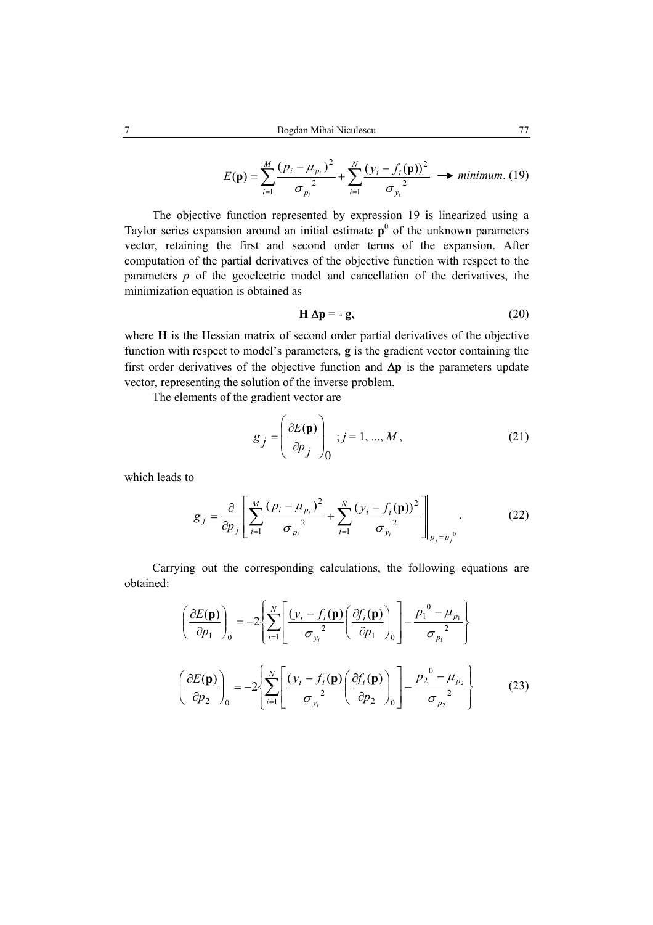$$
E(\mathbf{p}) = \sum_{i=1}^{M} \frac{(p_i - \mu_{p_i})^2}{\sigma_{p_i}^2} + \sum_{i=1}^{N} \frac{(y_i - f_i(\mathbf{p}))^2}{\sigma_{y_i}^2} \longrightarrow minimum. (19)
$$

The objective function represented by expression 19 is linearized using a Taylor series expansion around an initial estimate  $p^0$  of the unknown parameters vector, retaining the first and second order terms of the expansion. After computation of the partial derivatives of the objective function with respect to the parameters  $p$  of the geoelectric model and cancellation of the derivatives, the minimization equation is obtained as

$$
\mathbf{H} \Delta \mathbf{p} = -\mathbf{g},\tag{20}
$$

where **H** is the Hessian matrix of second order partial derivatives of the objective function with respect to model's parameters, **g** is the gradient vector containing the first order derivatives of the objective function and ∆**p** is the parameters update vector, representing the solution of the inverse problem.

The elements of the gradient vector are

$$
g_j = \left(\frac{\partial E(\mathbf{p})}{\partial p_j}\right)_0; j = 1, ..., M,
$$
\n(21)

which leads to

$$
g_{j} = \frac{\partial}{\partial p_{j}} \left[ \sum_{i=1}^{M} \frac{(p_{i} - \mu_{p_{i}})^{2}}{\sigma_{p_{i}}^{2}} + \sum_{i=1}^{N} \frac{(y_{i} - f_{i}(\mathbf{p}))^{2}}{\sigma_{y_{i}}^{2}} \right]_{p_{j} = p_{j}^{0}}.
$$
 (22)

Carrying out the corresponding calculations, the following equations are obtained:

$$
\left(\frac{\partial E(\mathbf{p})}{\partial p_1}\right)_0 = -2 \left\{ \sum_{i=1}^N \left[ \frac{\left(y_i - f_i(\mathbf{p}) \left(\frac{\partial f_i(\mathbf{p})}{\partial p_1}\right)_0\right] - \frac{p_1^0 - \mu_{p_1}}{\sigma_{p_1}^2} \right] \right\}
$$
\n
$$
\left(\frac{\partial E(\mathbf{p})}{\partial p_2}\right)_0 = -2 \left\{ \sum_{i=1}^N \left[ \frac{\left(y_i - f_i(\mathbf{p}) \left(\frac{\partial f_i(\mathbf{p})}{\partial p_2}\right)_0\right] - \frac{p_2^0 - \mu_{p_2}}{\sigma_{p_2}^2} \right\} \right\}
$$
\n(23)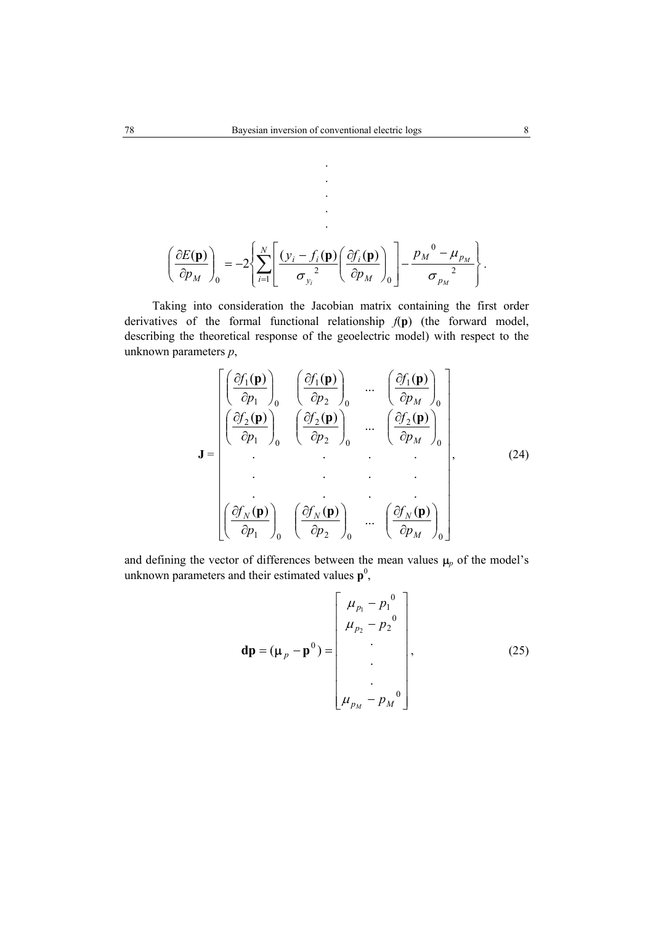. . . . .

$$
\left(\frac{\partial E(\mathbf{p})}{\partial p_M}\right)_0 = -2\left\{\sum_{i=1}^N \left[\frac{(y_i - f_i(\mathbf{p})}{\sigma_{y_i}^2}\left(\frac{\partial f_i(\mathbf{p})}{\partial p_M}\right)_0\right] - \frac{p_M^0 - \mu_{p_M}^0}{\sigma_{p_M}^2}\right\}.
$$

Taking into consideration the Jacobian matrix containing the first order derivatives of the formal functional relationship *f*(**p**) (the forward model, describing the theoretical response of the geoelectric model) with respect to the unknown parameters *p*,

$$
\mathbf{J} = \begin{bmatrix} \left(\frac{\partial f_1(\mathbf{p})}{\partial p_1}\right)_0 & \left(\frac{\partial f_1(\mathbf{p})}{\partial p_2}\right)_0 & \cdots & \left(\frac{\partial f_1(\mathbf{p})}{\partial p_M}\right)_0\\ \left(\frac{\partial f_2(\mathbf{p})}{\partial p_1}\right)_0 & \left(\frac{\partial f_2(\mathbf{p})}{\partial p_2}\right)_0 & \cdots & \left(\frac{\partial f_2(\mathbf{p})}{\partial p_M}\right)_0\\ \vdots & \vdots & \ddots & \vdots\\ \left(\frac{\partial f_N(\mathbf{p})}{\partial p_1}\right)_0 & \left(\frac{\partial f_N(\mathbf{p})}{\partial p_2}\right)_0 & \cdots & \left(\frac{\partial f_N(\mathbf{p})}{\partial p_M}\right)_0 \end{bmatrix},
$$
(24)

and defining the vector of differences between the mean values  $\mu_p$  of the model's unknown parameters and their estimated values  $p^0$ ,

$$
\mathbf{dp} = (\mathbf{\mu}_{p} - \mathbf{p}^{0}) = \begin{bmatrix} \mu_{p_{1}} - p_{1}^{0} \\ \mu_{p_{2}} - p_{2}^{0} \\ \vdots \\ \mu_{p_{M}} - p_{M}^{0} \end{bmatrix},
$$
(25)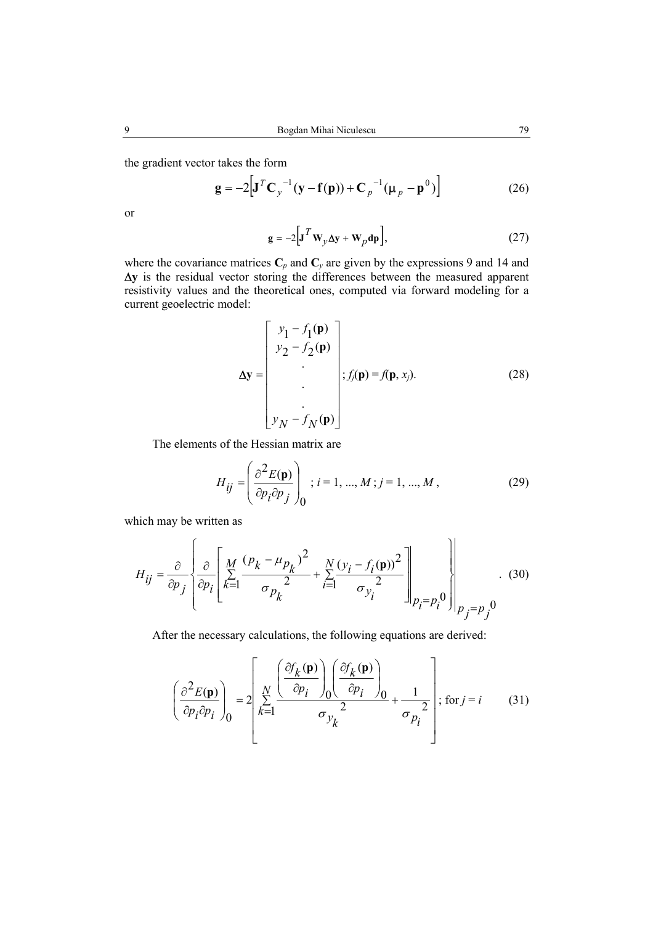the gradient vector takes the form

$$
\mathbf{g} = -2\Big[\mathbf{J}^T\mathbf{C}_y^{-1}(\mathbf{y} - \mathbf{f}(\mathbf{p})) + \mathbf{C}_p^{-1}(\mathbf{\mu}_p - \mathbf{p}^0)\Big]
$$
 (26)

or

$$
\mathbf{g} = -2\Big[\mathbf{J}^T \mathbf{W}_y \Delta \mathbf{y} + \mathbf{W}_p \mathbf{d} \mathbf{p}\Big],\tag{27}
$$

where the covariance matrices  $C_p$  and  $C_y$  are given by the expressions 9 and 14 and ∆**y** is the residual vector storing the differences between the measured apparent resistivity values and the theoretical ones, computed via forward modeling for a current geoelectric model:

$$
\Delta \mathbf{y} = \begin{bmatrix} y_1 - f_1(\mathbf{p}) \\ y_2 - f_2(\mathbf{p}) \\ \vdots \\ y_N - f_N(\mathbf{p}) \end{bmatrix}; f_j(\mathbf{p}) = f(\mathbf{p}, x_j).
$$
 (28)

The elements of the Hessian matrix are

$$
H_{ij} = \left(\frac{\partial^2 E(\mathbf{p})}{\partial p_i \partial p_j}\right)_0; i = 1, ..., M; j = 1, ..., M,
$$
 (29)

which may be written as

$$
H_{ij} = \frac{\partial}{\partial p_j} \left\{ \frac{\partial}{\partial p_i} \left[ \sum_{k=1}^M \frac{(p_k - \mu_{p_k})^2}{\sigma_{p_k}^2} + \sum_{i=1}^N \frac{(y_i - f_i(\mathbf{p}))^2}{\sigma_{y_i}^2} \right]_{p_i = p_i^0} \right\}_{p_j = p_j^0}
$$
(30)

After the necessary calculations, the following equations are derived:

$$
\left(\frac{\partial^2 E(\mathbf{p})}{\partial p_i \partial p_i}\right)_0 = 2 \left| \sum_{k=1}^N \frac{\left(\frac{\partial f_k(\mathbf{p})}{\partial p_i}\right)_0 \left(\frac{\partial f_k(\mathbf{p})}{\partial p_i}\right)_0}{\sigma_{y_k}^2} + \frac{1}{\sigma_{p_i}^2} \right|; \text{ for } j = i \quad (31)
$$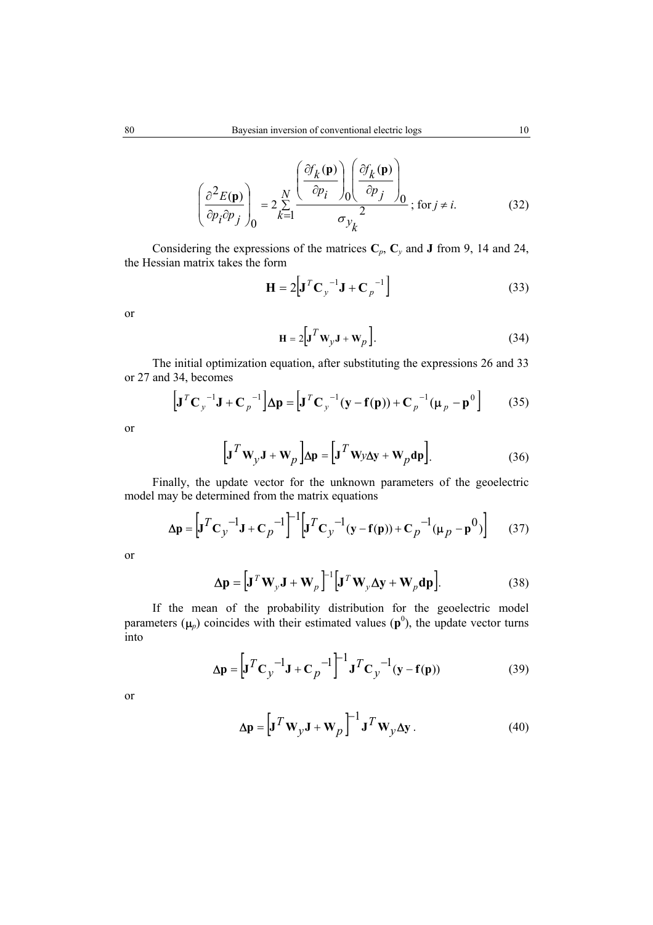$$
\left(\frac{\partial^2 E(\mathbf{p})}{\partial p_i \partial p_j}\right)_0 = 2 \sum_{k=1}^N \frac{\left(\frac{\partial f_k(\mathbf{p})}{\partial p_i}\right)_0 \left(\frac{\partial f_k(\mathbf{p})}{\partial p_j}\right)_0}{\sigma_{y_k}^2}; \text{ for } j \neq i. \tag{32}
$$

Considering the expressions of the matrices  $C_p$ ,  $C_y$  and **J** from 9, 14 and 24, the Hessian matrix takes the form

$$
\mathbf{H} = 2\left[\mathbf{J}^T \mathbf{C}_y^{-1} \mathbf{J} + \mathbf{C}_p^{-1}\right]
$$
 (33)

or

$$
\mathbf{H} = 2\Big[\mathbf{J}^T \mathbf{W}_y \mathbf{J} + \mathbf{W}_p\Big].
$$
 (34)

The initial optimization equation, after substituting the expressions 26 and 33 or 27 and 34, becomes

$$
\left[\mathbf{J}^T\mathbf{C}_y^{-1}\mathbf{J} + \mathbf{C}_p^{-1}\right]\Delta \mathbf{p} = \left[\mathbf{J}^T\mathbf{C}_y^{-1}(\mathbf{y} - \mathbf{f}(\mathbf{p})) + \mathbf{C}_p^{-1}(\mathbf{\mu}_p - \mathbf{p}^0)\right]
$$
(35)

or

$$
\left[\mathbf{J}^T \mathbf{W}_y \mathbf{J} + \mathbf{W}_p\right] \Delta \mathbf{p} = \left[\mathbf{J}^T \mathbf{W} y \Delta \mathbf{y} + \mathbf{W}_p \mathbf{dp}\right].
$$
 (36)

Finally, the update vector for the unknown parameters of the geoelectric model may be determined from the matrix equations

$$
\Delta \mathbf{p} = \left[ \mathbf{J}^T \mathbf{C}_y \right]^{-1} \mathbf{J} + \mathbf{C}_p \right]^{-1} \left[ \mathbf{J}^T \mathbf{C}_y \right]^{-1} (\mathbf{y} - \mathbf{f}(\mathbf{p})) + \mathbf{C}_p \right]^{-1} (\mathbf{\mu}_p - \mathbf{p}^0) \right] \tag{37}
$$

or

$$
\Delta \mathbf{p} = \left[ \mathbf{J}^T \mathbf{W}_y \mathbf{J} + \mathbf{W}_p \right]^{-1} \left[ \mathbf{J}^T \mathbf{W}_y \Delta \mathbf{y} + \mathbf{W}_p \mathbf{dp} \right].
$$
 (38)

If the mean of the probability distribution for the geoelectric model parameters  $(\mu_p)$  coincides with their estimated values  $(p^0)$ , the update vector turns into

$$
\Delta \mathbf{p} = \left[ \mathbf{J}^T \mathbf{C}_y \right]^{-1} \mathbf{J} + \mathbf{C}_p \right]^{-1} \mathbf{J}^T \mathbf{C}_y^{-1} (\mathbf{y} - \mathbf{f}(\mathbf{p})) \tag{39}
$$

or

$$
\Delta \mathbf{p} = \left[ \mathbf{J}^T \mathbf{W}_y \mathbf{J} + \mathbf{W}_p \right]^{-1} \mathbf{J}^T \mathbf{W}_y \Delta \mathbf{y} . \tag{40}
$$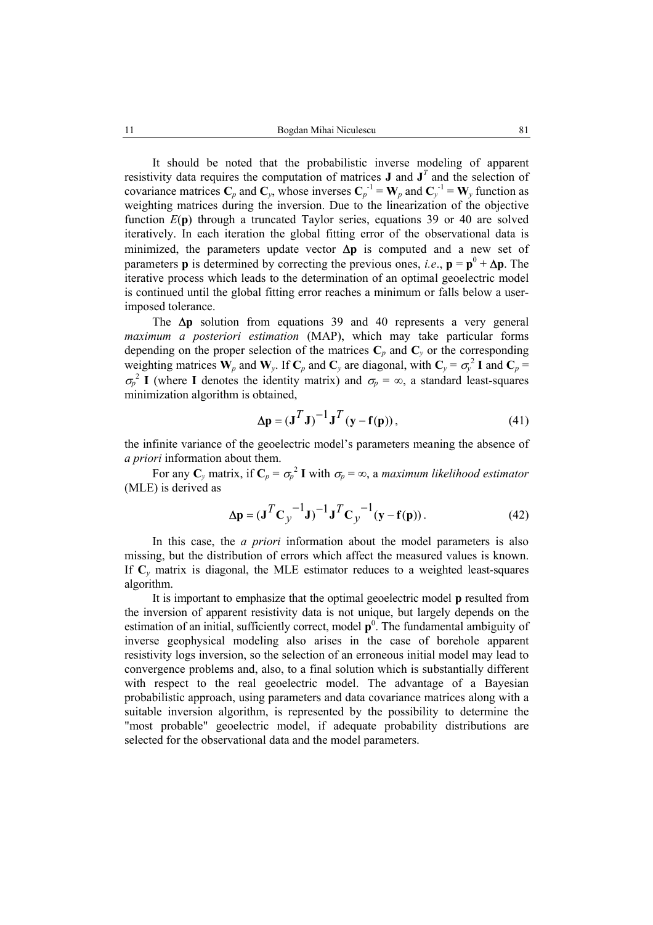It should be noted that the probabilistic inverse modeling of apparent resistivity data requires the computation of matrices **J** and  $J<sup>T</sup>$  and the selection of covariance matrices  $C_p$  and  $C_y$ , whose inverses  $C_p^{-1} = W_p$  and  $C_y^{-1} = W_y$  function as weighting matrices during the inversion. Due to the linearization of the objective function *E*(**p**) through a truncated Taylor series, equations 39 or 40 are solved iteratively. In each iteration the global fitting error of the observational data is minimized, the parameters update vector ∆**p** is computed and a new set of parameters **p** is determined by correcting the previous ones, *i.e.*,  $\mathbf{p} = \mathbf{p}^0 + \Delta \mathbf{p}$ . The iterative process which leads to the determination of an optimal geoelectric model is continued until the global fitting error reaches a minimum or falls below a userimposed tolerance.

The ∆**p** solution from equations 39 and 40 represents a very general *maximum a posteriori estimation* (MAP), which may take particular forms depending on the proper selection of the matrices  $C_p$  and  $C_v$  or the corresponding weighting matrices  $W_p$  and  $W_y$ . If  $C_p$  and  $C_y$  are diagonal, with  $C_y = \sigma_y^2 I$  and  $C_p =$  $\sigma_p^2$  **I** (where **I** denotes the identity matrix) and  $\sigma_p = \infty$ , a standard least-squares minimization algorithm is obtained,

$$
\Delta p = (\mathbf{J}^T \mathbf{J})^{-1} \mathbf{J}^T (\mathbf{y} - \mathbf{f}(\mathbf{p})), \tag{41}
$$

the infinite variance of the geoelectric model's parameters meaning the absence of *a priori* information about them.

For any  $\mathbf{C}_y$  matrix, if  $\mathbf{C}_p = \sigma_p^2 \mathbf{I}$  with  $\sigma_p = \infty$ , a *maximum likelihood estimator* (MLE) is derived as

$$
\Delta \mathbf{p} = (\mathbf{J}^T \mathbf{C}_y^{-1} \mathbf{J})^{-1} \mathbf{J}^T \mathbf{C}_y^{-1} (\mathbf{y} - \mathbf{f}(\mathbf{p})).
$$
 (42)

In this case, the *a priori* information about the model parameters is also missing, but the distribution of errors which affect the measured values is known. If  $C_v$  matrix is diagonal, the MLE estimator reduces to a weighted least-squares algorithm.

It is important to emphasize that the optimal geoelectric model **p** resulted from the inversion of apparent resistivity data is not unique, but largely depends on the estimation of an initial, sufficiently correct, model  $\mathbf{p}^0$ . The fundamental ambiguity of inverse geophysical modeling also arises in the case of borehole apparent resistivity logs inversion, so the selection of an erroneous initial model may lead to convergence problems and, also, to a final solution which is substantially different with respect to the real geoelectric model. The advantage of a Bayesian probabilistic approach, using parameters and data covariance matrices along with a suitable inversion algorithm, is represented by the possibility to determine the "most probable" geoelectric model, if adequate probability distributions are selected for the observational data and the model parameters.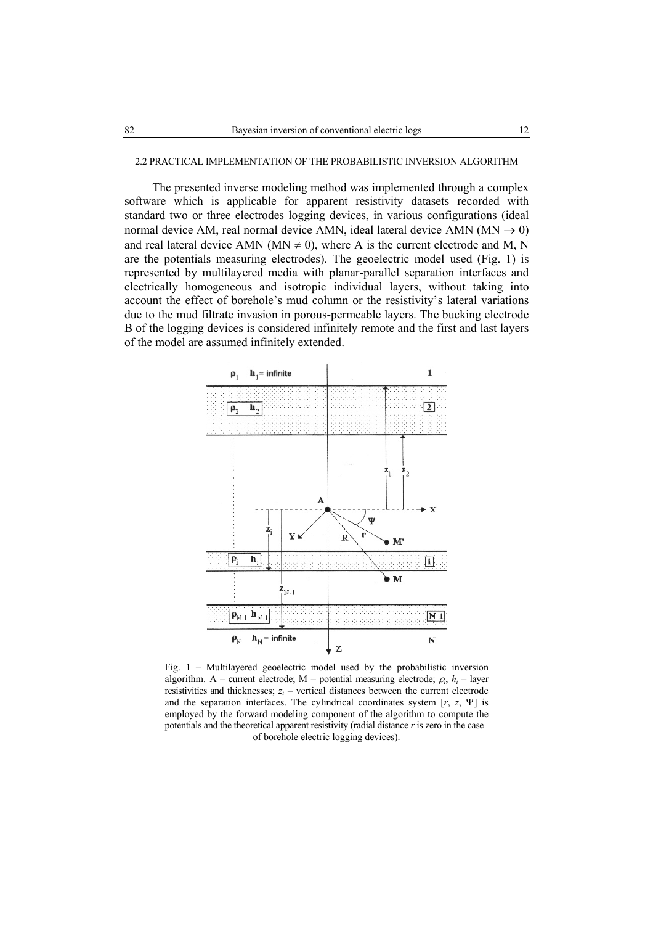# 2.2 PRACTICAL IMPLEMENTATION OF THE PROBABILISTIC INVERSION ALGORITHM

The presented inverse modeling method was implemented through a complex software which is applicable for apparent resistivity datasets recorded with standard two or three electrodes logging devices, in various configurations (ideal normal device AM, real normal device AMN, ideal lateral device AMN ( $MN \rightarrow 0$ ) and real lateral device AMN (MN  $\neq$  0), where A is the current electrode and M, N are the potentials measuring electrodes). The geoelectric model used (Fig. 1) is represented by multilayered media with planar-parallel separation interfaces and electrically homogeneous and isotropic individual layers, without taking into account the effect of borehole's mud column or the resistivity's lateral variations due to the mud filtrate invasion in porous-permeable layers. The bucking electrode B of the logging devices is considered infinitely remote and the first and last layers of the model are assumed infinitely extended.



Fig. 1 – Multilayered geoelectric model used by the probabilistic inversion algorithm. A – current electrode; M – potential measuring electrode;  $\rho_i$ ,  $h_i$  – layer resistivities and thicknesses;  $z_i$  – vertical distances between the current electrode and the separation interfaces. The cylindrical coordinates system [*r*, *z*, Ψ] is employed by the forward modeling component of the algorithm to compute the potentials and the theoretical apparent resistivity (radial distance *r* is zero in the case of borehole electric logging devices).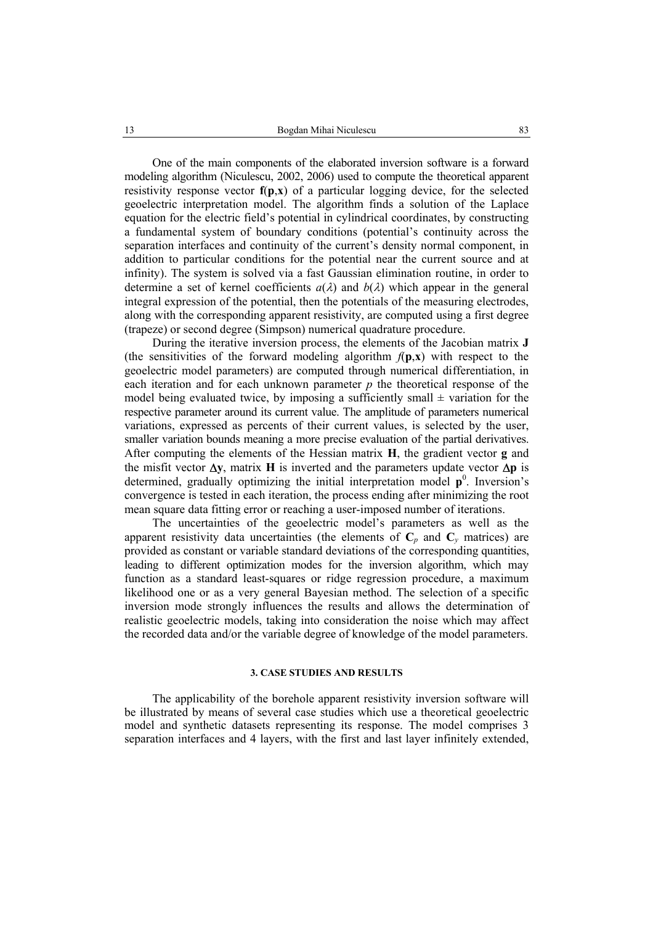One of the main components of the elaborated inversion software is a forward modeling algorithm (Niculescu, 2002, 2006) used to compute the theoretical apparent resistivity response vector **f**(**p**,**x**) of a particular logging device, for the selected geoelectric interpretation model. The algorithm finds a solution of the Laplace equation for the electric field's potential in cylindrical coordinates, by constructing a fundamental system of boundary conditions (potential's continuity across the separation interfaces and continuity of the current's density normal component, in addition to particular conditions for the potential near the current source and at infinity). The system is solved via a fast Gaussian elimination routine, in order to determine a set of kernel coefficients  $a(\lambda)$  and  $b(\lambda)$  which appear in the general integral expression of the potential, then the potentials of the measuring electrodes, along with the corresponding apparent resistivity, are computed using a first degree (trapeze) or second degree (Simpson) numerical quadrature procedure.

During the iterative inversion process, the elements of the Jacobian matrix **J** (the sensitivities of the forward modeling algorithm  $f(\mathbf{p}, \mathbf{x})$  with respect to the geoelectric model parameters) are computed through numerical differentiation, in each iteration and for each unknown parameter *p* the theoretical response of the model being evaluated twice, by imposing a sufficiently small  $\pm$  variation for the respective parameter around its current value. The amplitude of parameters numerical variations, expressed as percents of their current values, is selected by the user, smaller variation bounds meaning a more precise evaluation of the partial derivatives. After computing the elements of the Hessian matrix **H**, the gradient vector **g** and the misfit vector ∆**y**, matrix **H** is inverted and the parameters update vector ∆**p** is determined, gradually optimizing the initial interpretation model  $p^0$ . Inversion's convergence is tested in each iteration, the process ending after minimizing the root mean square data fitting error or reaching a user-imposed number of iterations.

The uncertainties of the geoelectric model's parameters as well as the apparent resistivity data uncertainties (the elements of  $C_p$  and  $C_v$  matrices) are provided as constant or variable standard deviations of the corresponding quantities, leading to different optimization modes for the inversion algorithm, which may function as a standard least-squares or ridge regression procedure, a maximum likelihood one or as a very general Bayesian method. The selection of a specific inversion mode strongly influences the results and allows the determination of realistic geoelectric models, taking into consideration the noise which may affect the recorded data and/or the variable degree of knowledge of the model parameters.

# **3. CASE STUDIES AND RESULTS**

The applicability of the borehole apparent resistivity inversion software will be illustrated by means of several case studies which use a theoretical geoelectric model and synthetic datasets representing its response. The model comprises 3 separation interfaces and 4 layers, with the first and last layer infinitely extended,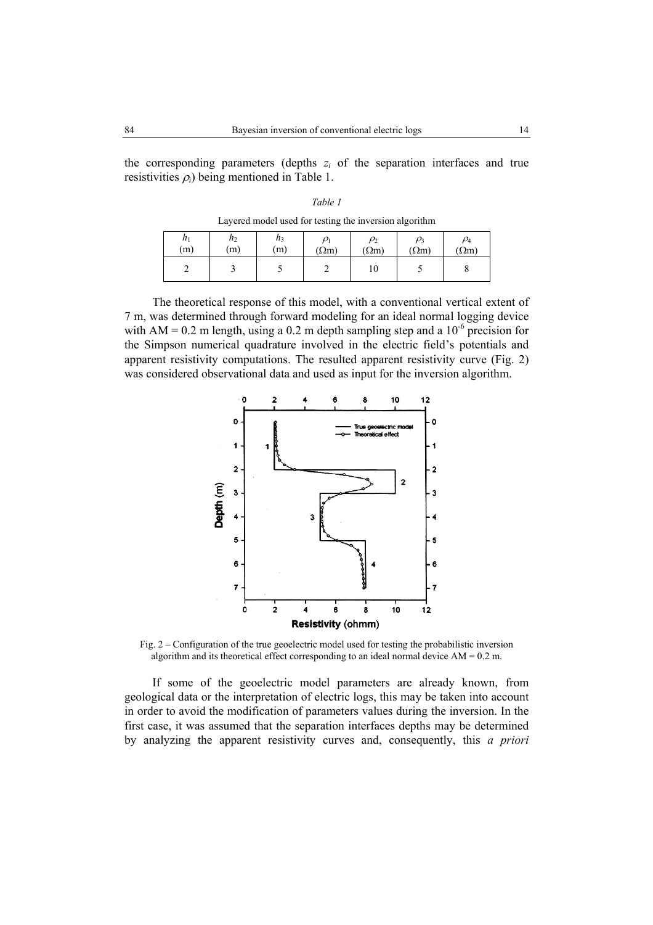the corresponding parameters (depths  $z_i$  of the separation interfaces and true resistivities  $\rho_i$ ) being mentioned in Table 1.

| Table 1 |  |
|---------|--|
|         |  |

Layered model used for testing the inversion algorithm

| n <sub>1</sub><br>(m) | n <sub>2</sub><br>(m) | $h_3$<br>(m) | $(\Omega m)$ | $\rho_2$<br>$(\Omega m)$ | $(\Omega m)$ | $\rho_4$<br>$\Omega$ m) |
|-----------------------|-----------------------|--------------|--------------|--------------------------|--------------|-------------------------|
| ∽                     |                       |              |              | 10                       |              |                         |

The theoretical response of this model, with a conventional vertical extent of 7 m, was determined through forward modeling for an ideal normal logging device with AM = 0.2 m length, using a 0.2 m depth sampling step and a  $10^{-6}$  precision for the Simpson numerical quadrature involved in the electric field's potentials and apparent resistivity computations. The resulted apparent resistivity curve (Fig. 2) was considered observational data and used as input for the inversion algorithm.



Fig. 2 – Configuration of the true geoelectric model used for testing the probabilistic inversion algorithm and its theoretical effect corresponding to an ideal normal device  $AM = 0.2$  m.

If some of the geoelectric model parameters are already known, from geological data or the interpretation of electric logs, this may be taken into account in order to avoid the modification of parameters values during the inversion. In the first case, it was assumed that the separation interfaces depths may be determined by analyzing the apparent resistivity curves and, consequently, this *a priori*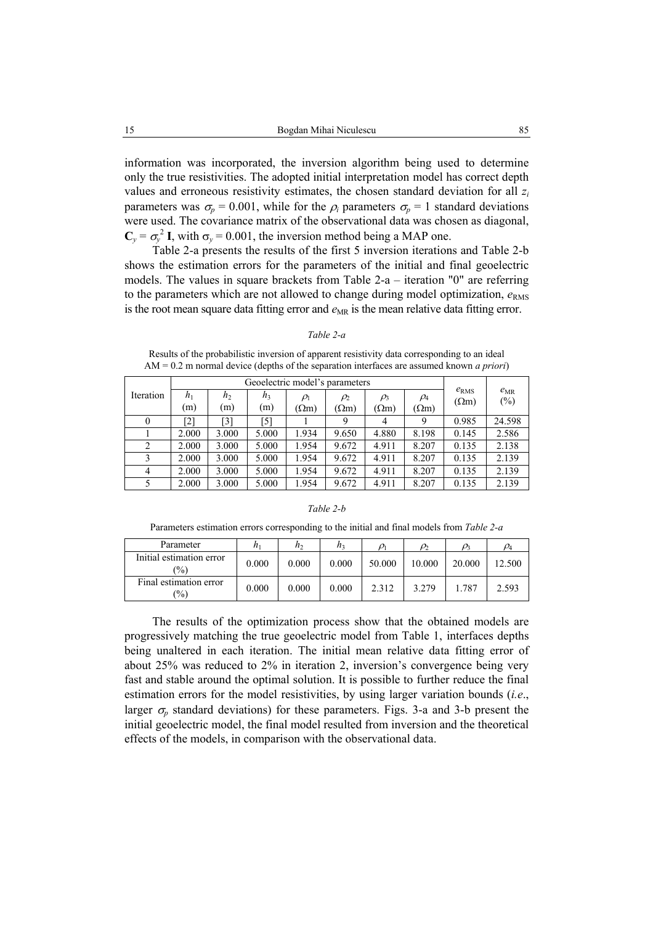information was incorporated, the inversion algorithm being used to determine only the true resistivities. The adopted initial interpretation model has correct depth values and erroneous resistivity estimates, the chosen standard deviation for all  $z_i$ parameters was  $\sigma_p = 0.001$ , while for the  $\rho_i$  parameters  $\sigma_p = 1$  standard deviations were used. The covariance matrix of the observational data was chosen as diagonal,  $C_y = \sigma_y^2$  **I**, with  $\sigma_y = 0.001$ , the inversion method being a MAP one.

Table 2-a presents the results of the first 5 inversion iterations and Table 2-b shows the estimation errors for the parameters of the initial and final geoelectric models. The values in square brackets from Table 2-a – iteration "0" are referring to the parameters which are not allowed to change during model optimization,  $e<sub>RMS</sub>$ is the root mean square data fitting error and  $e_{MR}$  is the mean relative data fitting error.

#### *Table 2-a*

Results of the probabilistic inversion of apparent resistivity data corresponding to an ideal AM = 0.2 m normal device (depths of the separation interfaces are assumed known *a priori*)

|           | Geoelectric model's parameters |       |                |              |              |              |              |                           |                 |
|-----------|--------------------------------|-------|----------------|--------------|--------------|--------------|--------------|---------------------------|-----------------|
| Iteration | $h_1$                          | $h_2$ | h <sub>3</sub> | $\rho_1$     | $\rho_2$     | $\rho_3$     | $\rho_4$     | $e_{RMS}$<br>$(\Omega m)$ | $e_{MR}$<br>(%) |
|           | (m)                            | (m)   | (m)            | $(\Omega m)$ | $(\Omega m)$ | $(\Omega m)$ | $(\Omega m)$ |                           |                 |
| 0         | [2]                            | [3]   | [5]            |              | 9            | 4            | 9            | 0.985                     | 24.598          |
|           | 2.000                          | 3.000 | 5.000          | 1.934        | 9.650        | 4.880        | 8.198        | 0.145                     | 2.586           |
| 2         | 2.000                          | 3.000 | 5.000          | 1.954        | 9.672        | 4.911        | 8.207        | 0.135                     | 2.138           |
| 3         | 2.000                          | 3.000 | 5.000          | 1.954        | 9.672        | 4.911        | 8.207        | 0.135                     | 2.139           |
| 4         | 2.000                          | 3.000 | 5.000          | 1.954        | 9.672        | 4.911        | 8.207        | 0.135                     | 2.139           |
| 5         | 2.000                          | 3.000 | 5.000          | 1.954        | 9.672        | 4.911        | 8.207        | 0.135                     | 2.139           |

# *Table 2-b*

Parameters estimation errors corresponding to the initial and final models from *Table 2-a* 

| Parameter                                   | $\mathfrak{n}$ | n <sub>2</sub> | n,    | $\rho_{\scriptscriptstyle 1}$ | $\rho_2$ | $\rho_3$ |        |
|---------------------------------------------|----------------|----------------|-------|-------------------------------|----------|----------|--------|
| Initial estimation error<br>$\frac{(0)}{0}$ | 0.000          | 0.000          | 0.000 | 50.000                        | 10.000   | 20.000   | 12.500 |
| Final estimation error<br>$\frac{1}{2}$     | 0.000          | 0.000          | 0.000 | 2.312                         | 3.279    | 1.787    | 2.593  |

The results of the optimization process show that the obtained models are progressively matching the true geoelectric model from Table 1, interfaces depths being unaltered in each iteration. The initial mean relative data fitting error of about 25% was reduced to 2% in iteration 2, inversion's convergence being very fast and stable around the optimal solution. It is possible to further reduce the final estimation errors for the model resistivities, by using larger variation bounds (*i.e*., larger  $\sigma_p$  standard deviations) for these parameters. Figs. 3-a and 3-b present the initial geoelectric model, the final model resulted from inversion and the theoretical effects of the models, in comparison with the observational data.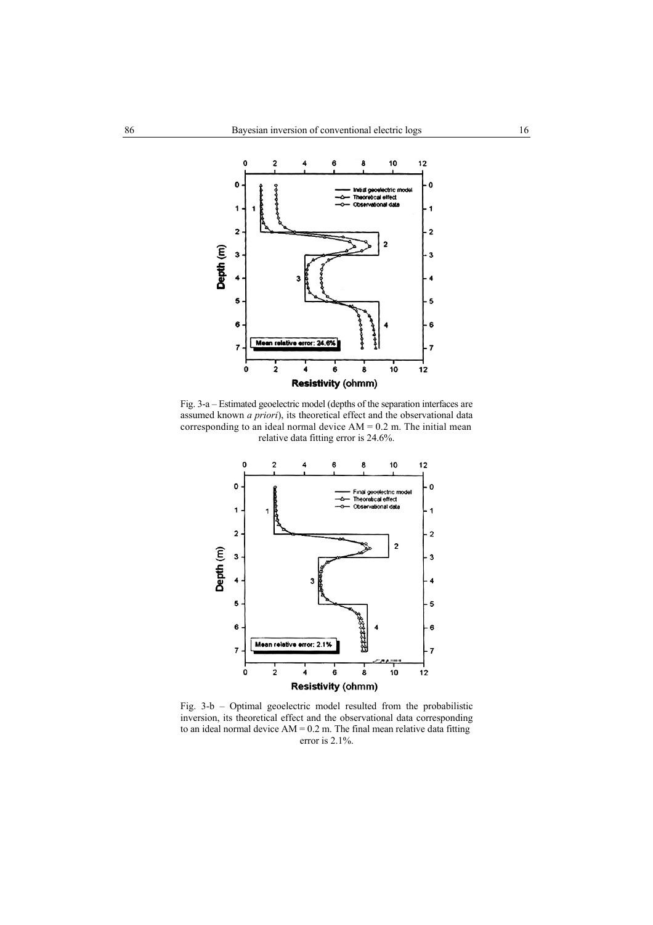

Fig. 3-a – Estimated geoelectric model (depths of the separation interfaces are assumed known *a priori*), its theoretical effect and the observational data corresponding to an ideal normal device  $AM = 0.2$  m. The initial mean relative data fitting error is 24.6%.



Fig. 3-b – Optimal geoelectric model resulted from the probabilistic inversion, its theoretical effect and the observational data corresponding to an ideal normal device  $AM = 0.2$  m. The final mean relative data fitting error is 2.1%.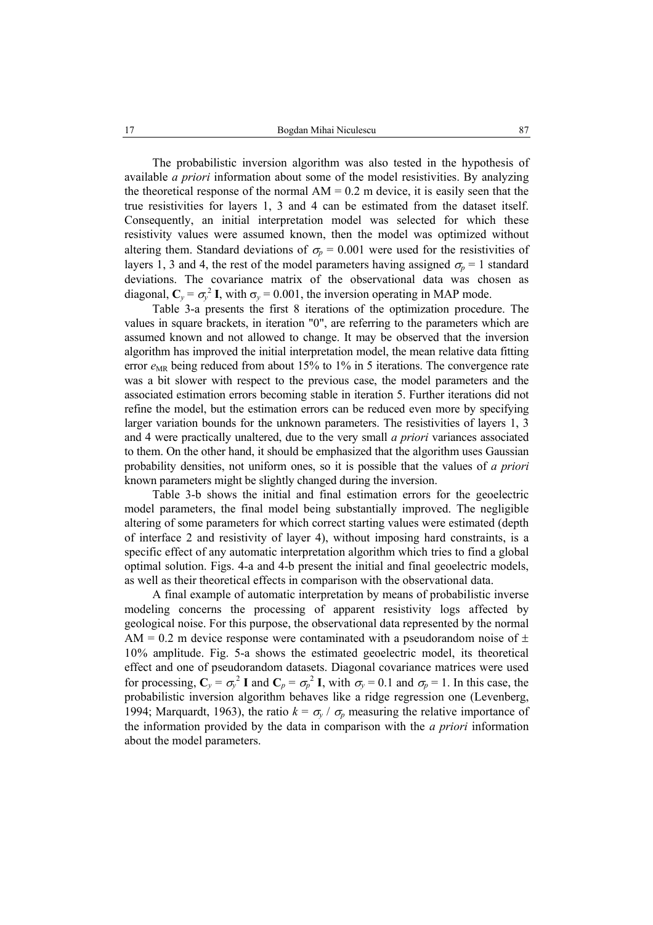The probabilistic inversion algorithm was also tested in the hypothesis of available *a priori* information about some of the model resistivities. By analyzing the theoretical response of the normal  $AM = 0.2$  m device, it is easily seen that the true resistivities for layers 1, 3 and 4 can be estimated from the dataset itself. Consequently, an initial interpretation model was selected for which these resistivity values were assumed known, then the model was optimized without altering them. Standard deviations of  $\sigma_p = 0.001$  were used for the resistivities of layers 1, 3 and 4, the rest of the model parameters having assigned  $\sigma_p = 1$  standard deviations. The covariance matrix of the observational data was chosen as diagonal,  $C_y = \sigma_y^2 I$ , with  $\sigma_y = 0.001$ , the inversion operating in MAP mode.

Table 3-a presents the first 8 iterations of the optimization procedure. The values in square brackets, in iteration "0", are referring to the parameters which are assumed known and not allowed to change. It may be observed that the inversion algorithm has improved the initial interpretation model, the mean relative data fitting error  $e_{MR}$  being reduced from about 15% to 1% in 5 iterations. The convergence rate was a bit slower with respect to the previous case, the model parameters and the associated estimation errors becoming stable in iteration 5. Further iterations did not refine the model, but the estimation errors can be reduced even more by specifying larger variation bounds for the unknown parameters. The resistivities of layers 1, 3 and 4 were practically unaltered, due to the very small *a priori* variances associated to them. On the other hand, it should be emphasized that the algorithm uses Gaussian probability densities, not uniform ones, so it is possible that the values of *a priori* known parameters might be slightly changed during the inversion.

Table 3-b shows the initial and final estimation errors for the geoelectric model parameters, the final model being substantially improved. The negligible altering of some parameters for which correct starting values were estimated (depth of interface 2 and resistivity of layer 4), without imposing hard constraints, is a specific effect of any automatic interpretation algorithm which tries to find a global optimal solution. Figs. 4-a and 4-b present the initial and final geoelectric models, as well as their theoretical effects in comparison with the observational data.

A final example of automatic interpretation by means of probabilistic inverse modeling concerns the processing of apparent resistivity logs affected by geological noise. For this purpose, the observational data represented by the normal AM = 0.2 m device response were contaminated with a pseudorandom noise of  $\pm$ 10% amplitude. Fig. 5-a shows the estimated geoelectric model, its theoretical effect and one of pseudorandom datasets. Diagonal covariance matrices were used for processing,  $C_y = \sigma_y^2 I$  and  $C_p = \sigma_p^2 I$ , with  $\sigma_y = 0.1$  and  $\sigma_p = 1$ . In this case, the probabilistic inversion algorithm behaves like a ridge regression one (Levenberg, 1994; Marquardt, 1963), the ratio  $k = \sigma_y / \sigma_p$  measuring the relative importance of the information provided by the data in comparison with the *a priori* information about the model parameters.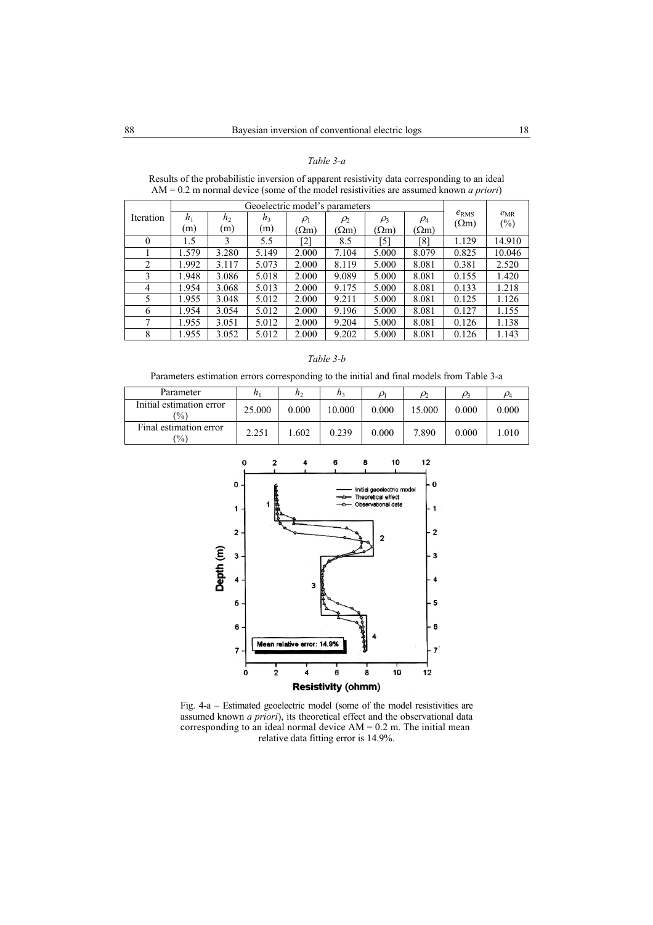# *Table 3-a*

|           | Geoelectric model's parameters |                |                |              |              |              |              |                               |                    |
|-----------|--------------------------------|----------------|----------------|--------------|--------------|--------------|--------------|-------------------------------|--------------------|
| Iteration | $h_1$                          | h <sub>2</sub> | h <sub>3</sub> | $\rho_1$     | $\rho_2$     | $\rho_3$     | $\rho_4$     | $e_{\rm RMS}$<br>$(\Omega m)$ | $e_{MR}$<br>$(\%)$ |
|           | (m)                            | (m)            | (m)            | $(\Omega m)$ | $(\Omega m)$ | $(\Omega m)$ | $(\Omega m)$ |                               |                    |
| $\theta$  | 1.5                            | 3              | 5.5            | [2]          | 8.5          | [5]          | [8]          | 1.129                         | 14.910             |
|           | 1.579                          | 3.280          | 5.149          | 2.000        | 7.104        | 5.000        | 8.079        | 0.825                         | 10.046             |
| 2         | 1.992                          | 3.117          | 5.073          | 2.000        | 8.119        | 5.000        | 8.081        | 0.381                         | 2.520              |
| 3         | 1.948                          | 3.086          | 5.018          | 2.000        | 9.089        | 5.000        | 8.081        | 0.155                         | 1.420              |
| 4         | 1.954                          | 3.068          | 5.013          | 2.000        | 9.175        | 5.000        | 8.081        | 0.133                         | 1.218              |
| 5         | 1.955                          | 3.048          | 5.012          | 2.000        | 9.211        | 5.000        | 8.081        | 0.125                         | 1.126              |
| 6         | 1.954                          | 3.054          | 5.012          | 2.000        | 9.196        | 5.000        | 8.081        | 0.127                         | 1.155              |
| 7         | 1.955                          | 3.051          | 5.012          | 2.000        | 9.204        | 5.000        | 8.081        | 0.126                         | 1.138              |
| 8         | 1.955                          | 3.052          | 5.012          | 2.000        | 9.202        | 5.000        | 8.081        | 0.126                         | 1.143              |

Results of the probabilistic inversion of apparent resistivity data corresponding to an ideal AM = 0.2 m normal device (some of the model resistivities are assumed known *a priori*)

# *Table 3-b*

Parameters estimation errors corresponding to the initial and final models from Table 3-a

| Parameter                                 | $n_1$  | n <sub>2</sub> | $n_3$  | $\rho_{\scriptscriptstyle 1}$ | $\alpha$ | $\rho_{2}$ |       |
|-------------------------------------------|--------|----------------|--------|-------------------------------|----------|------------|-------|
| Initial estimation error<br>$\frac{1}{2}$ | 25.000 | 0.000          | 10.000 | 0.000                         | 15.000   | 0.000      | 0.000 |
| Final estimation error<br>$\frac{1}{2}$   | 2.251  | 1.602          | 0.239  | 0.000                         | 7.890    | 0.000      | .010  |



Fig. 4-a – Estimated geoelectric model (some of the model resistivities are assumed known *a priori*), its theoretical effect and the observational data corresponding to an ideal normal device  $AM = 0.2$  m. The initial mean relative data fitting error is 14.9%.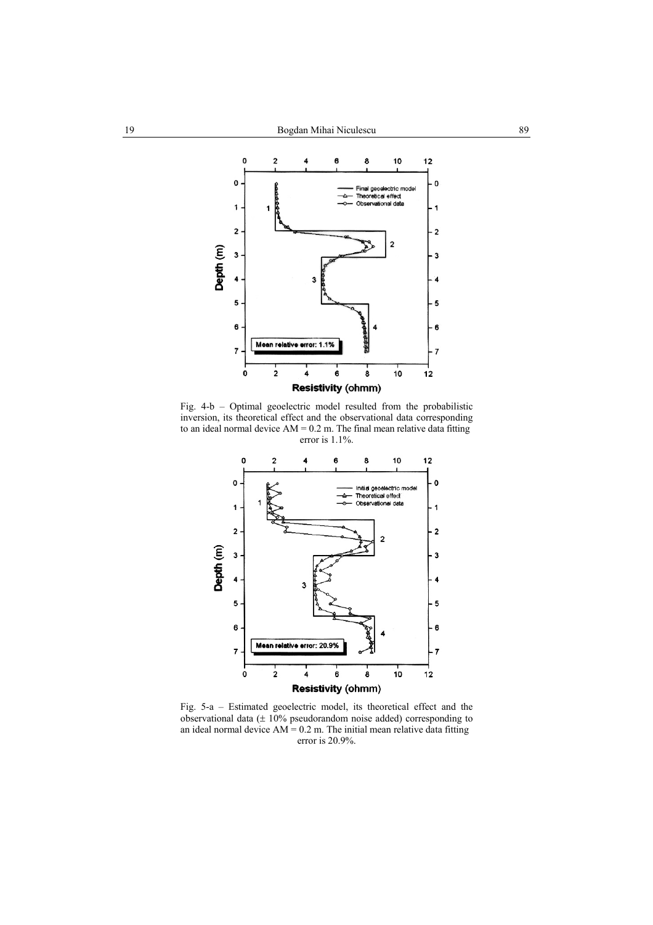

Fig. 4-b – Optimal geoelectric model resulted from the probabilistic inversion, its theoretical effect and the observational data corresponding to an ideal normal device  $AM = 0.2$  m. The final mean relative data fitting error is 1.1%.



Fig. 5-a – Estimated geoelectric model, its theoretical effect and the observational data  $(± 10\%$  pseudorandom noise added) corresponding to an ideal normal device  $AM = 0.2$  m. The initial mean relative data fitting error is 20.9%.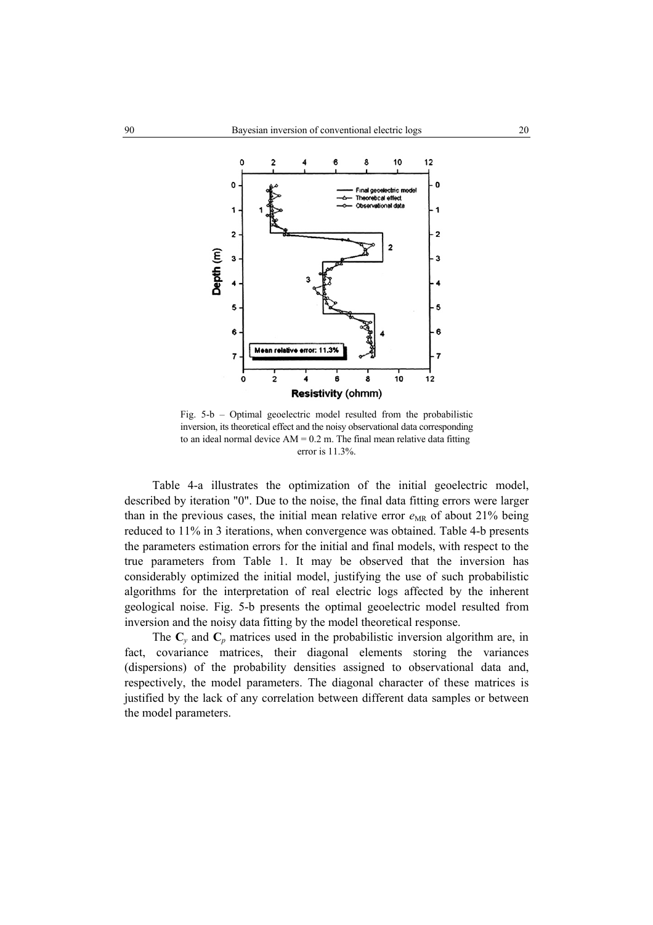

Fig. 5-b – Optimal geoelectric model resulted from the probabilistic inversion, its theoretical effect and the noisy observational data corresponding to an ideal normal device  $AM = 0.2$  m. The final mean relative data fitting error is 11.3%.

Table 4-a illustrates the optimization of the initial geoelectric model, described by iteration "0". Due to the noise, the final data fitting errors were larger than in the previous cases, the initial mean relative error  $e_{MR}$  of about 21% being reduced to 11% in 3 iterations, when convergence was obtained. Table 4-b presents the parameters estimation errors for the initial and final models, with respect to the true parameters from Table 1. It may be observed that the inversion has considerably optimized the initial model, justifying the use of such probabilistic algorithms for the interpretation of real electric logs affected by the inherent geological noise. Fig. 5-b presents the optimal geoelectric model resulted from inversion and the noisy data fitting by the model theoretical response.

The  $C_v$  and  $C_p$  matrices used in the probabilistic inversion algorithm are, in fact, covariance matrices, their diagonal elements storing the variances (dispersions) of the probability densities assigned to observational data and, respectively, the model parameters. The diagonal character of these matrices is justified by the lack of any correlation between different data samples or between the model parameters.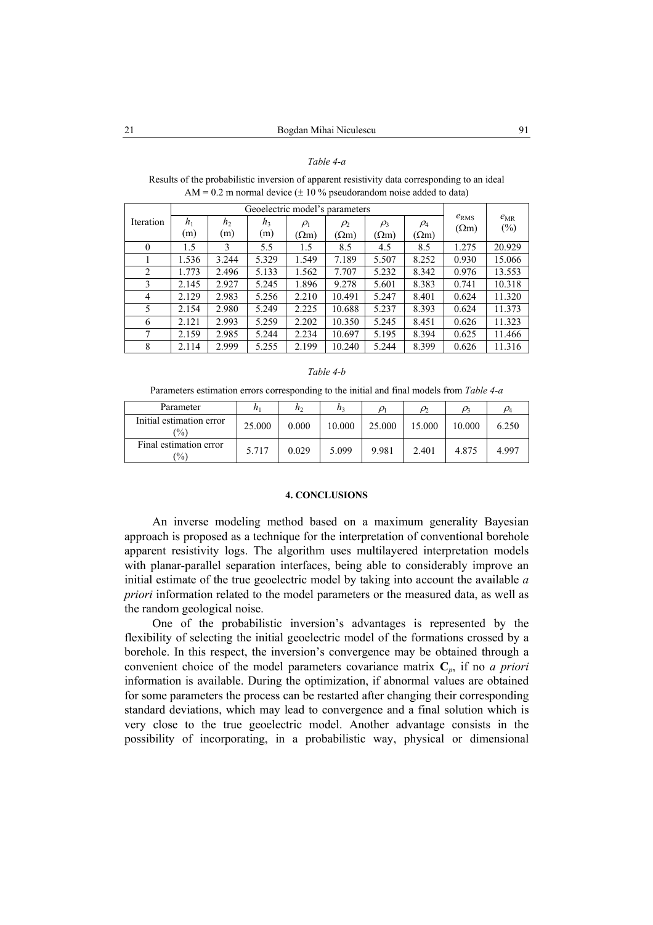# *Table 4-a*

Results of the probabilistic inversion of apparent resistivity data corresponding to an ideal AM = 0.2 m normal device  $(\pm 10\%$  pseudorandom noise added to data)

|                  | Geoelectric model's parameters |                |                |              |              |              |              |              |                 |
|------------------|--------------------------------|----------------|----------------|--------------|--------------|--------------|--------------|--------------|-----------------|
| <b>Iteration</b> | $h_1$                          | h <sub>2</sub> | h <sub>3</sub> | $\rho_1$     | $\rho_2$     | $\rho_3$     | $\rho_4$     | $e_{RMS}$    | $e_{MR}$<br>(%) |
|                  | (m)                            | (m)            | (m)            | $(\Omega m)$ | $(\Omega m)$ | $(\Omega m)$ | $(\Omega m)$ | $(\Omega m)$ |                 |
| $\theta$         | 1.5                            | 3              | 5.5            | 1.5          | 8.5          | 4.5          | 8.5          | 1.275        | 20.929          |
|                  | 1.536                          | 3.244          | 5.329          | 1.549        | 7.189        | 5.507        | 8.252        | 0.930        | 15.066          |
| $\overline{2}$   | 1.773                          | 2.496          | 5.133          | 1.562        | 7.707        | 5.232        | 8.342        | 0.976        | 13.553          |
| 3                | 2.145                          | 2.927          | 5.245          | 1.896        | 9.278        | 5.601        | 8.383        | 0.741        | 10.318          |
| 4                | 2.129                          | 2.983          | 5.256          | 2.210        | 10.491       | 5.247        | 8.401        | 0.624        | 11.320          |
| 5                | 2.154                          | 2.980          | 5.249          | 2.225        | 10.688       | 5.237        | 8.393        | 0.624        | 11.373          |
| 6                | 2.121                          | 2.993          | 5.259          | 2.202        | 10.350       | 5.245        | 8.451        | 0.626        | 11.323          |
| 7                | 2.159                          | 2.985          | 5.244          | 2.234        | 10.697       | 5.195        | 8.394        | 0.625        | 11.466          |
| 8                | 2.114                          | 2.999          | 5.255          | 2.199        | 10.240       | 5.244        | 8.399        | 0.626        | 11.316          |

#### *Table 4-b*

Parameters estimation errors corresponding to the initial and final models from *Table 4-a*

| Parameter                                 | $\mathfrak{n}$ | n <sub>2</sub> | $n_3$  | $\rho_{\text{l}}$ | $\rho_2$ | $\rho_{3}$ | $\rho_4$ |
|-------------------------------------------|----------------|----------------|--------|-------------------|----------|------------|----------|
| Initial estimation error<br>$\frac{1}{2}$ | 25.000         | 0.000          | 10.000 | 25.000            | 15.000   | 10.000     | 6.250    |
| Final estimation error<br>$\frac{1}{2}$   | 5.717          | 0.029          | 5.099  | 9.981             | 2.401    | 4.875      | 4.997    |

#### **4. CONCLUSIONS**

An inverse modeling method based on a maximum generality Bayesian approach is proposed as a technique for the interpretation of conventional borehole apparent resistivity logs. The algorithm uses multilayered interpretation models with planar-parallel separation interfaces, being able to considerably improve an initial estimate of the true geoelectric model by taking into account the available *a priori* information related to the model parameters or the measured data, as well as the random geological noise.

One of the probabilistic inversion's advantages is represented by the flexibility of selecting the initial geoelectric model of the formations crossed by a borehole. In this respect, the inversion's convergence may be obtained through a convenient choice of the model parameters covariance matrix **C***p*, if no *a priori* information is available. During the optimization, if abnormal values are obtained for some parameters the process can be restarted after changing their corresponding standard deviations, which may lead to convergence and a final solution which is very close to the true geoelectric model. Another advantage consists in the possibility of incorporating, in a probabilistic way, physical or dimensional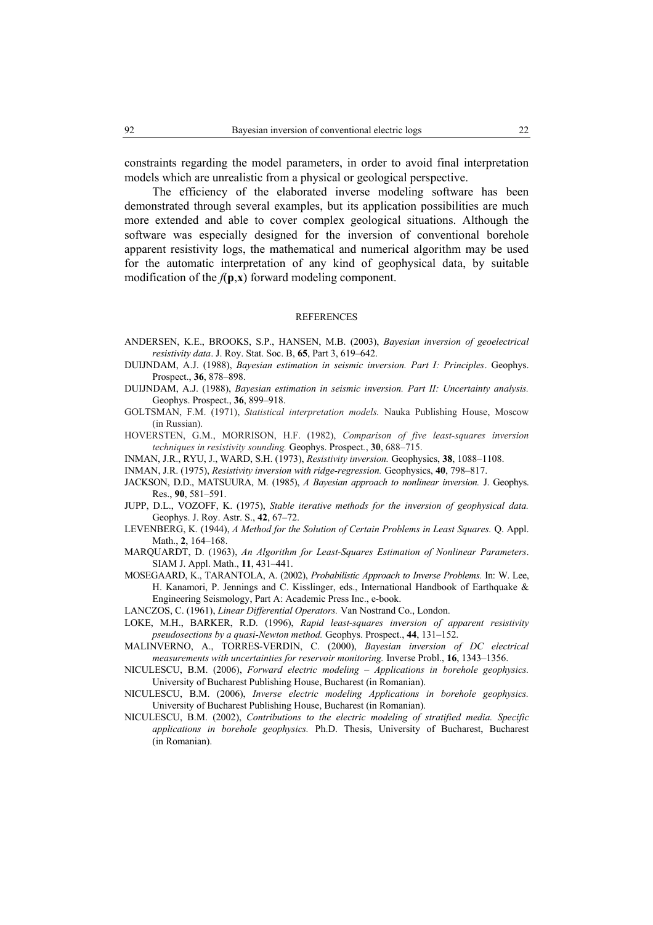constraints regarding the model parameters, in order to avoid final interpretation models which are unrealistic from a physical or geological perspective.

The efficiency of the elaborated inverse modeling software has been demonstrated through several examples, but its application possibilities are much more extended and able to cover complex geological situations. Although the software was especially designed for the inversion of conventional borehole apparent resistivity logs, the mathematical and numerical algorithm may be used for the automatic interpretation of any kind of geophysical data, by suitable modification of the  $f(\mathbf{p}, \mathbf{x})$  forward modeling component.

#### REFERENCES

- ANDERSEN, K.E., BROOKS, S.P., HANSEN, M.B. (2003), *Bayesian inversion of geoelectrical resistivity data*. J. Roy. Stat. Soc. B, **65**, Part 3, 619–642.
- DUIJNDAM, A.J. (1988), *Bayesian estimation in seismic inversion. Part I: Principles*. Geophys. Prospect., **36**, 878–898.
- DUIJNDAM, A.J. (1988), *Bayesian estimation in seismic inversion. Part II: Uncertainty analysis.* Geophys. Prospect., **36**, 899–918.
- GOLTSMAN, F.M. (1971), *Statistical interpretation models.* Nauka Publishing House, Moscow (in Russian).
- HOVERSTEN, G.M., MORRISON, H.F. (1982), *Comparison of five least-squares inversion techniques in resistivity sounding.* Geophys. Prospect*.*, **30**, 688–715.
- INMAN, J.R., RYU, J., WARD, S.H. (1973), *Resistivity inversion.* Geophysics, **38**, 1088–1108.
- INMAN, J.R. (1975), *Resistivity inversion with ridge-regression.* Geophysics, **40**, 798–817.
- JACKSON, D.D., MATSUURA, M. (1985), *A Bayesian approach to nonlinear inversion.* J. Geophys. Res., **90**, 581–591.
- JUPP, D.L., VOZOFF, K. (1975), *Stable iterative methods for the inversion of geophysical data.* Geophys. J. Roy. Astr. S., **42**, 67–72.
- LEVENBERG, K. (1944), *A Method for the Solution of Certain Problems in Least Squares.* Q. Appl. Math., **2**, 164–168.
- MARQUARDT, D. (1963), *An Algorithm for Least-Squares Estimation of Nonlinear Parameters*. SIAM J. Appl. Math., **11**, 431–441.
- MOSEGAARD, K., TARANTOLA, A. (2002), *Probabilistic Approach to Inverse Problems.* In: W. Lee, H. Kanamori, P. Jennings and C. Kisslinger, eds., International Handbook of Earthquake & Engineering Seismology, Part A: Academic Press Inc., e-book.
- LANCZOS, C. (1961), *Linear Differential Operators.* Van Nostrand Co., London.
- LOKE, M.H., BARKER, R.D. (1996), *Rapid least-squares inversion of apparent resistivity pseudosections by a quasi-Newton method.* Geophys. Prospect., **44**, 131–152.
- MALINVERNO, A., TORRES-VERDIN, C. (2000), *Bayesian inversion of DC electrical measurements with uncertainties for reservoir monitoring.* Inverse Probl., **16**, 1343–1356.
- NICULESCU, B.M. (2006), *Forward electric modeling Applications in borehole geophysics.* University of Bucharest Publishing House, Bucharest (in Romanian).
- NICULESCU, B.M. (2006), *Inverse electric modeling Applications in borehole geophysics.* University of Bucharest Publishing House, Bucharest (in Romanian).
- NICULESCU, B.M. (2002), *Contributions to the electric modeling of stratified media. Specific applications in borehole geophysics.* Ph.D. Thesis, University of Bucharest, Bucharest (in Romanian).